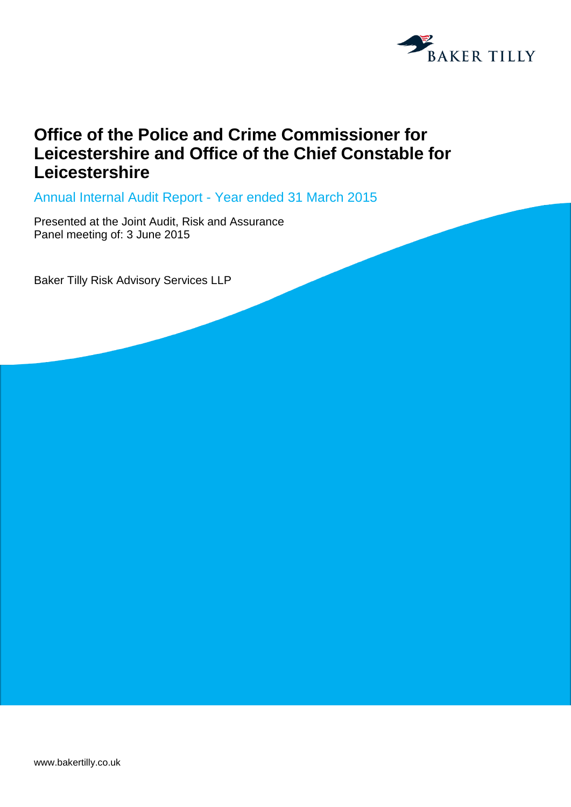

## **Office of the Police and Crime Commissioner for Leicestershire and Office of the Chief Constable for Leicestershire**

Annual Internal Audit Report - Year ended 31 March 2015

Presented at the Joint Audit, Risk and Assurance Panel meeting of: 3 June 2015

Baker Tilly Risk Advisory Services LLP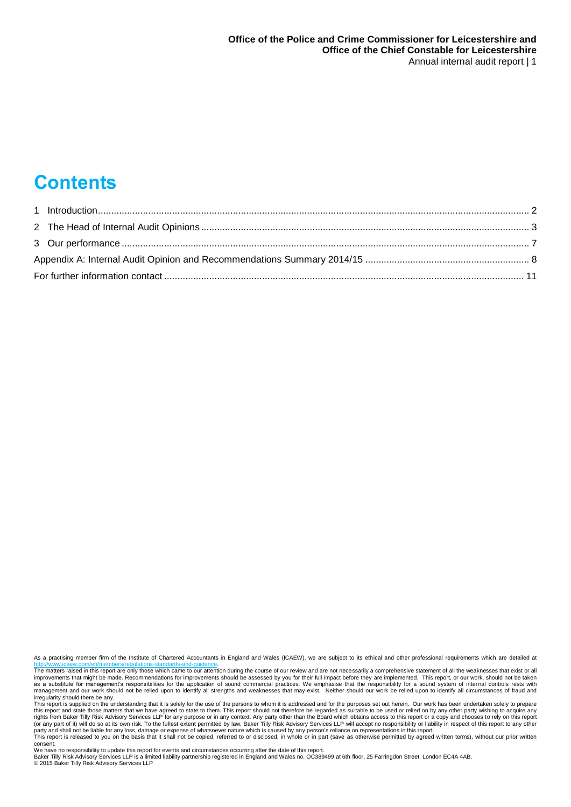# **Contents**

As a practising member firm of the Institute of Chartered Accountants in England and Wales (ICAEW), we are subject to its ethical and other professional requirements which are detailed at dards-and-quida

party and shall not be liable for any loss, damage or expense of whatsoever nature which is caused by any person's reliance on representations in this report.<br>This report is released to you on the basis that it shall not b consent.

We have no responsibility to update this report for events and circumstances occurring after the date of this report.<br>Baker Tilly Risk Advisory Services LLP is a limited liability partnership registered in England and Wal

The matters raised in this report are only those which came to our attention during the course of our review and are not necessarily a comprehensive statement of all the weaknesses that exist or all<br>improvements that might as a substitute for management's responsibilities for the application of sound commercial practices. We emphasise that the responsibility for a sound system of internal controls rests with<br>management and our work should no

This report is supplied on the understanding that it is solely for the use of the persons to whom it is addressed and for the purposes set out herein. Our work has been undertaken solely to prepare<br>this report and state th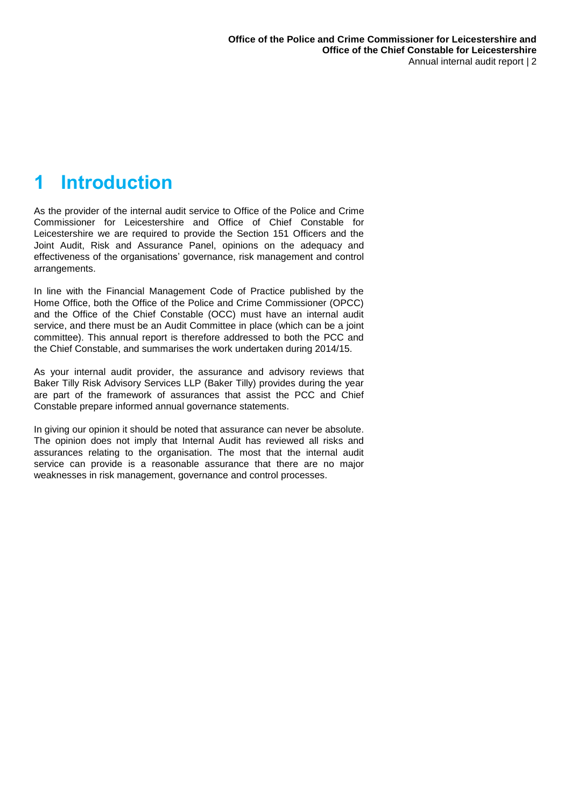## <span id="page-2-0"></span>**1 Introduction**

As the provider of the internal audit service to Office of the Police and Crime Commissioner for Leicestershire and Office of Chief Constable for Leicestershire we are required to provide the Section 151 Officers and the Joint Audit, Risk and Assurance Panel, opinions on the adequacy and effectiveness of the organisations' governance, risk management and control arrangements.

In line with the Financial Management Code of Practice published by the Home Office, both the Office of the Police and Crime Commissioner (OPCC) and the Office of the Chief Constable (OCC) must have an internal audit service, and there must be an Audit Committee in place (which can be a joint committee). This annual report is therefore addressed to both the PCC and the Chief Constable, and summarises the work undertaken during 2014/15.

As your internal audit provider, the assurance and advisory reviews that Baker Tilly Risk Advisory Services LLP (Baker Tilly) provides during the year are part of the framework of assurances that assist the PCC and Chief Constable prepare informed annual governance statements.

In giving our opinion it should be noted that assurance can never be absolute. The opinion does not imply that Internal Audit has reviewed all risks and assurances relating to the organisation. The most that the internal audit service can provide is a reasonable assurance that there are no major weaknesses in risk management, governance and control processes.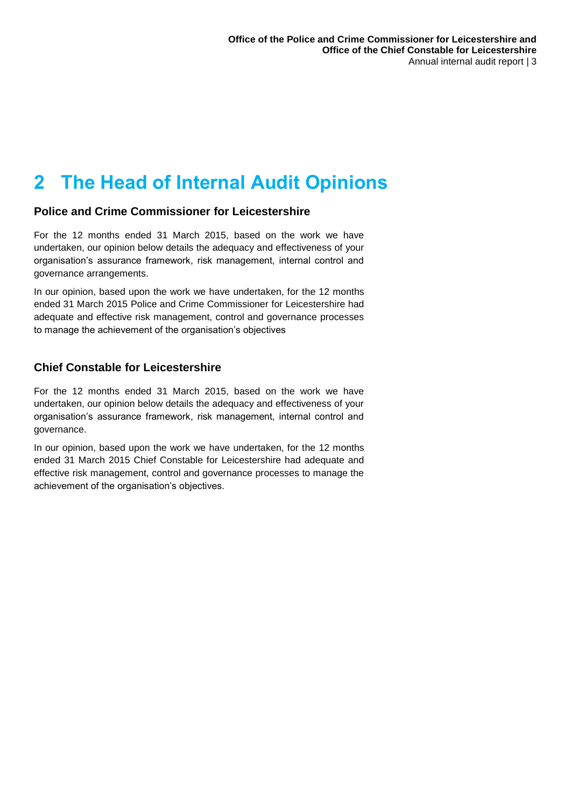# <span id="page-3-0"></span>**2 The Head of Internal Audit Opinions**

#### **Police and Crime Commissioner for Leicestershire**

For the 12 months ended 31 March 2015, based on the work we have undertaken, our opinion below details the adequacy and effectiveness of your organisation's assurance framework, risk management, internal control and governance arrangements.

In our opinion, based upon the work we have undertaken, for the 12 months ended 31 March 2015 Police and Crime Commissioner for Leicestershire had adequate and effective risk management, control and governance processes to manage the achievement of the organisation's objectives

### **Chief Constable for Leicestershire**

For the 12 months ended 31 March 2015, based on the work we have undertaken, our opinion below details the adequacy and effectiveness of your organisation's assurance framework, risk management, internal control and governance.

In our opinion, based upon the work we have undertaken, for the 12 months ended 31 March 2015 Chief Constable for Leicestershire had adequate and effective risk management, control and governance processes to manage the achievement of the organisation's objectives.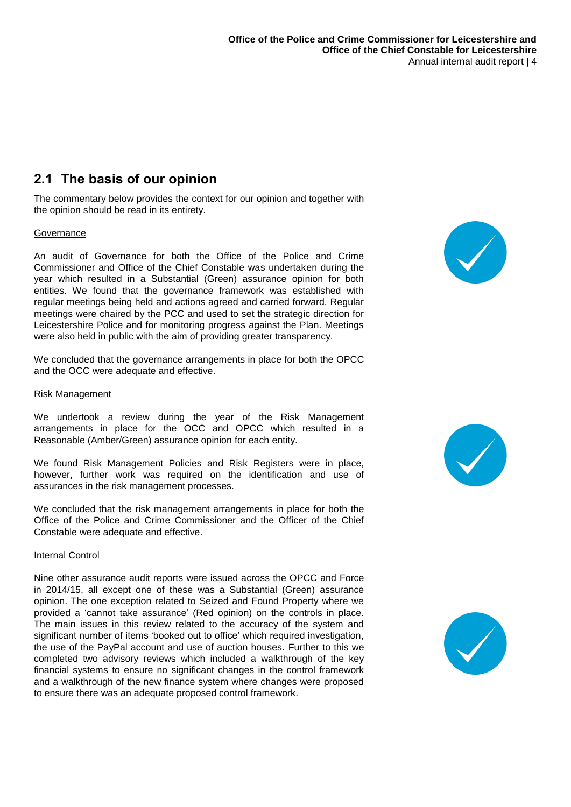### **2.1 The basis of our opinion**

The commentary below provides the context for our opinion and together with the opinion should be read in its entirety.

#### **Governance**

An audit of Governance for both the Office of the Police and Crime Commissioner and Office of the Chief Constable was undertaken during the year which resulted in a Substantial (Green) assurance opinion for both entities. We found that the governance framework was established with regular meetings being held and actions agreed and carried forward. Regular meetings were chaired by the PCC and used to set the strategic direction for Leicestershire Police and for monitoring progress against the Plan. Meetings were also held in public with the aim of providing greater transparency.

We concluded that the governance arrangements in place for both the OPCC and the OCC were adequate and effective.

#### Risk Management

We undertook a review during the year of the Risk Management arrangements in place for the OCC and OPCC which resulted in a Reasonable (Amber/Green) assurance opinion for each entity.

We found Risk Management Policies and Risk Registers were in place, however, further work was required on the identification and use of assurances in the risk management processes.

We concluded that the risk management arrangements in place for both the Office of the Police and Crime Commissioner and the Officer of the Chief Constable were adequate and effective.

#### Internal Control

Nine other assurance audit reports were issued across the OPCC and Force in 2014/15, all except one of these was a Substantial (Green) assurance opinion. The one exception related to Seized and Found Property where we provided a 'cannot take assurance' (Red opinion) on the controls in place. The main issues in this review related to the accuracy of the system and significant number of items 'booked out to office' which required investigation, the use of the PayPal account and use of auction houses. Further to this we completed two advisory reviews which included a walkthrough of the key financial systems to ensure no significant changes in the control framework and a walkthrough of the new finance system where changes were proposed to ensure there was an adequate proposed control framework.





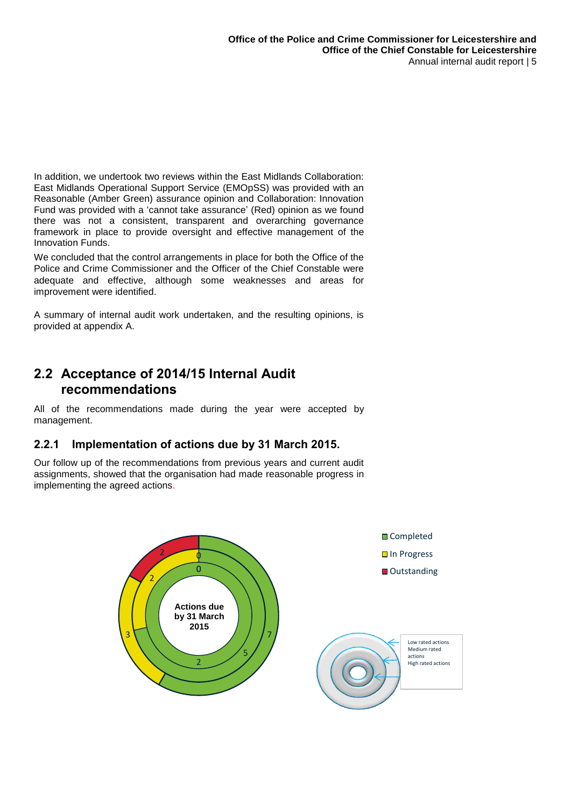In addition, we undertook two reviews within the East Midlands Collaboration: East Midlands Operational Support Service (EMOpSS) was provided with an Reasonable (Amber Green) assurance opinion and Collaboration: Innovation Fund was provided with a 'cannot take assurance' (Red) opinion as we found there was not a consistent, transparent and overarching governance framework in place to provide oversight and effective management of the Innovation Funds.

We concluded that the control arrangements in place for both the Office of the Police and Crime Commissioner and the Officer of the Chief Constable were adequate and effective, although some weaknesses and areas for improvement were identified.

A summary of internal audit work undertaken, and the resulting opinions, is provided at appendix A.

### **2.2 Acceptance of 2014/15 Internal Audit recommendations**

All of the recommendations made during the year were accepted by management.

### **2.2.1 Implementation of actions due by 31 March 2015.**

Our follow up of the recommendations from previous years and current audit assignments, showed that the organisation had made reasonable progress in implementing the agreed actions.

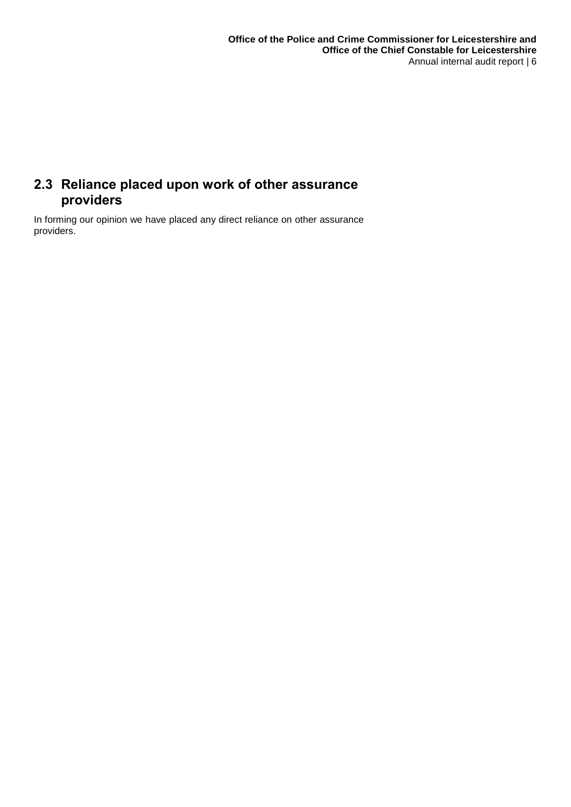## **2.3 Reliance placed upon work of other assurance providers**

In forming our opinion we have placed any direct reliance on other assurance providers.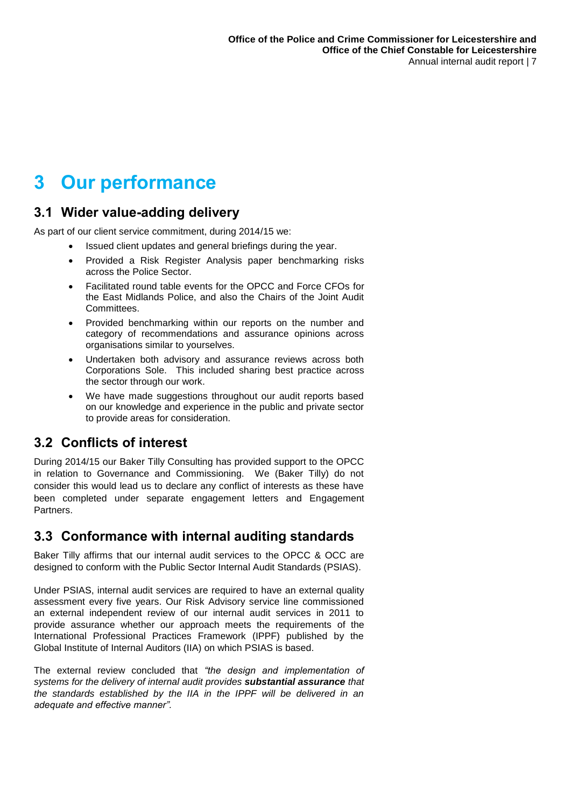## <span id="page-7-0"></span>**3 Our performance**

### **3.1 Wider value-adding delivery**

As part of our client service commitment, during 2014/15 we:

- Issued client updates and general briefings during the year.
- Provided a Risk Register Analysis paper benchmarking risks across the Police Sector.
- Facilitated round table events for the OPCC and Force CFOs for the East Midlands Police, and also the Chairs of the Joint Audit Committees.
- Provided benchmarking within our reports on the number and category of recommendations and assurance opinions across organisations similar to yourselves.
- Undertaken both advisory and assurance reviews across both Corporations Sole. This included sharing best practice across the sector through our work.
- We have made suggestions throughout our audit reports based on our knowledge and experience in the public and private sector to provide areas for consideration.

## **3.2 Conflicts of interest**

During 2014/15 our Baker Tilly Consulting has provided support to the OPCC in relation to Governance and Commissioning. We (Baker Tilly) do not consider this would lead us to declare any conflict of interests as these have been completed under separate engagement letters and Engagement Partners.

### **3.3 Conformance with internal auditing standards**

Baker Tilly affirms that our internal audit services to the OPCC & OCC are designed to conform with the Public Sector Internal Audit Standards (PSIAS).

Under PSIAS, internal audit services are required to have an external quality assessment every five years. Our Risk Advisory service line commissioned an external independent review of our internal audit services in 2011 to provide assurance whether our approach meets the requirements of the International Professional Practices Framework (IPPF) published by the Global Institute of Internal Auditors (IIA) on which PSIAS is based.

The external review concluded that *"the design and implementation of systems for the delivery of internal audit provides substantial assurance that the standards established by the IIA in the IPPF will be delivered in an adequate and effective manner".*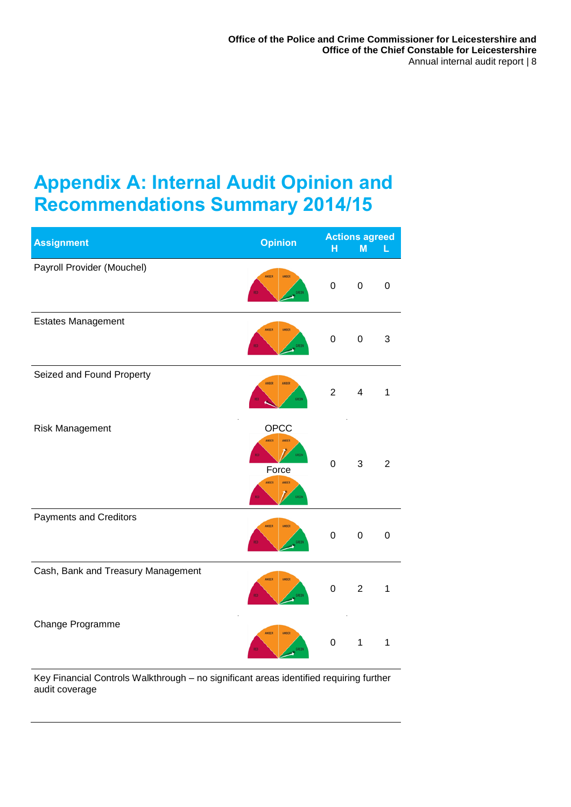## <span id="page-8-0"></span>**Appendix A: Internal Audit Opinion and Recommendations Summary 2014/15**

| <b>Assignment</b>                  | <b>Opinion</b>                                    | H                | <b>Actions agreed</b><br>M | L              |
|------------------------------------|---------------------------------------------------|------------------|----------------------------|----------------|
| Payroll Provider (Mouchel)         | <b>AMBER</b><br><b>AMBER</b>                      | 0                | $\pmb{0}$                  | 0              |
| <b>Estates Management</b>          | <b>AMBER</b><br><b>AMBER</b>                      | $\pmb{0}$        | $\pmb{0}$                  | 3              |
| Seized and Found Property          | <b>AMBER</b><br>AMBER<br>CREEN                    | $\overline{2}$   | $\overline{4}$             | 1              |
| Risk Management                    | OPCC<br>AMBER<br>AMBER<br>Force<br>AMBER<br>AMBER | $\mathbf 0$      | 3                          | $\overline{2}$ |
| <b>Payments and Creditors</b>      | <b>AMBER</b><br><b>AMBER</b>                      | $\boldsymbol{0}$ | $\pmb{0}$                  | $\mathbf 0$    |
| Cash, Bank and Treasury Management | <b>AMBER</b><br><b>AMBER</b>                      | $\pmb{0}$        | $\overline{2}$             | 1              |
| Change Programme                   | AMBER<br><b>AMBER</b>                             | $\mathbf 0$      | $\mathbf 1$                | 1              |

Key Financial Controls Walkthrough – no significant areas identified requiring further audit coverage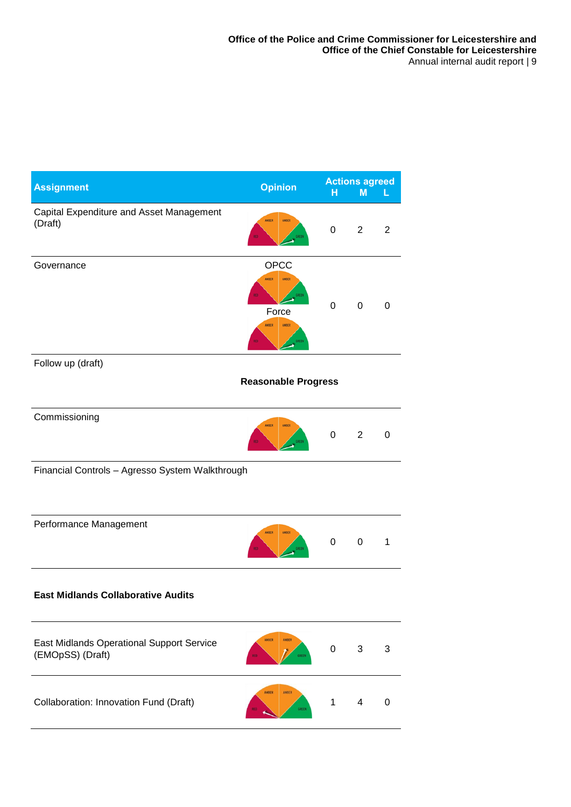| <b>Assignment</b>                                                    | <b>Opinion</b>                                                                           | н           | <b>Actions agreed</b><br>M | L              |  |  |  |
|----------------------------------------------------------------------|------------------------------------------------------------------------------------------|-------------|----------------------------|----------------|--|--|--|
| Capital Expenditure and Asset Management<br>(Draft)                  | <b>AMBER</b><br><b>AMBER</b><br>GREEN                                                    | 0           | $\overline{2}$             | $\overline{2}$ |  |  |  |
| Governance                                                           | OPCC<br><b>AMBER</b><br><b>AMBER</b><br>GREEN<br>Force<br><b>AMBER</b><br>AMBER<br>GREEN | $\mathbf 0$ | 0                          | 0              |  |  |  |
| Follow up (draft)                                                    |                                                                                          |             |                            |                |  |  |  |
|                                                                      | <b>Reasonable Progress</b>                                                               |             |                            |                |  |  |  |
| Commissioning                                                        | <b>AMBER</b><br>AMBER<br>REEN                                                            | $\mathbf 0$ | $\overline{2}$             | 0              |  |  |  |
| Financial Controls - Agresso System Walkthrough                      |                                                                                          |             |                            |                |  |  |  |
| Performance Management                                               | <b>AMBER</b><br><b>AMBER</b>                                                             | 0           | $\boldsymbol{0}$           | 1              |  |  |  |
| <b>East Midlands Collaborative Audits</b>                            |                                                                                          |             |                            |                |  |  |  |
| <b>East Midlands Operational Support Service</b><br>(EMOpSS) (Draft) | AMBER<br>AMBER<br>GREEN                                                                  | $\mathbf 0$ | 3                          | 3              |  |  |  |
| Collaboration: Innovation Fund (Draft)                               | AMBER<br>AMBER<br>GREEN                                                                  | 1           | 4                          | 0              |  |  |  |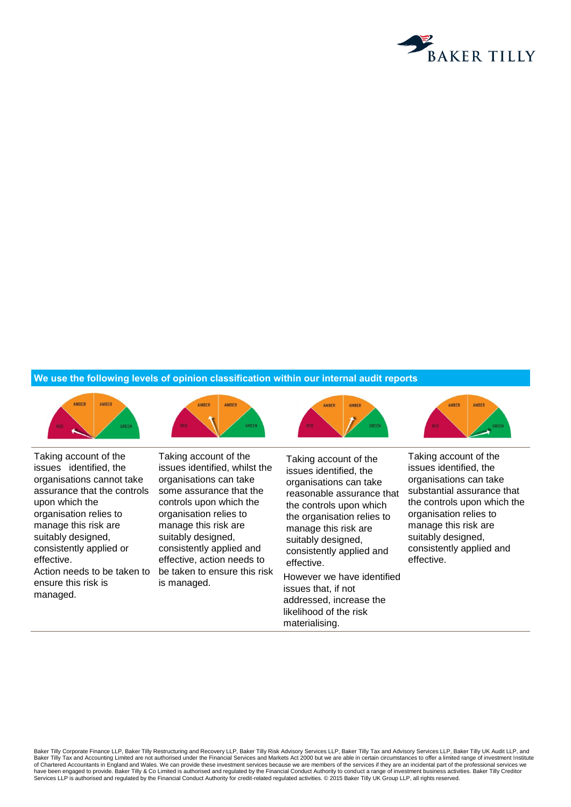

#### **We use the following levels of opinion classification within our internal audit reports**

AMRER

AMRER



Taking account of the issues identified, the organisations cannot take assurance that the controls upon which the organisation relies to manage this risk are suitably designed, consistently applied or effective. Action needs to be taken to ensure this risk is managed.

Taking account of the issues identified, whilst the organisations can take some assurance that the controls upon which the organisation relies to manage this risk are suitably designed, consistently applied and effective, action needs to be taken to ensure this risk is managed.

**AMRED AMRER** 

AMRES

Taking account of the issues identified, the organisations can take reasonable assurance that the controls upon which the organisation relies to manage this risk are suitably designed, consistently applied and effective.

However we have identified issues that, if not addressed, increase the likelihood of the risk materialising.

Taking account of the issues identified, the organisations can take substantial assurance that the controls upon which the organisation relies to manage this risk are suitably designed, consistently applied and effective.

Baker Tilly Corporate Finance LLP, Baker Tilly Restructuring and Recovery LLP, Baker Tilly Risk Advisory Services LLP, Baker Tilly Tax and Advisory Services LLP, Baker Tilly UK Audit LLP, and Baker Tilly Tax and Accounting Limited are not authorised under the Financial Services and Markets Act 2000 but we are able in certain circumstances to offer a limited range of investment Institute of Chartered Accountants in England and Wales. We can provide these investment services because we are members of the services if they are an incidental part of the professional services we have been engaged to provide. Baker Tilly & Co Limited is authorised and regulated by the Financial Conduct Authority to conduct a range of investment business activities. Baker Tilly Creditor Services LLP is authorised and regulated by the Financial Conduct Authority for credit-related regulated activities. © 2015 Baker Tilly UK Group LLP, all rights reserved.